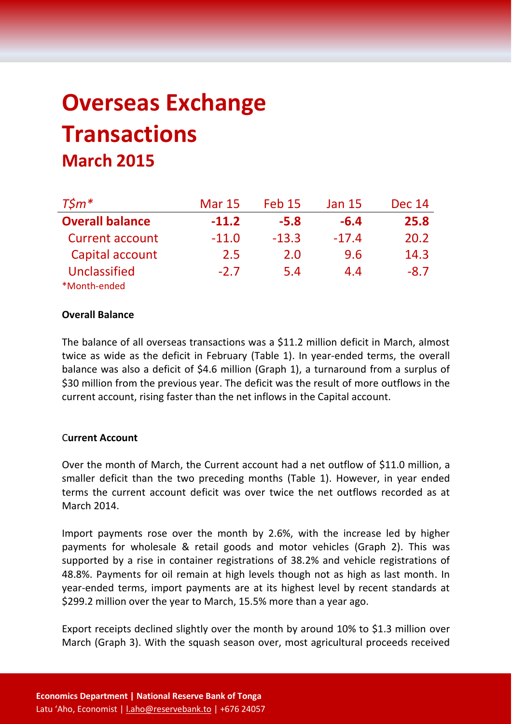# **Overseas Exchange Transactions March 2015**

| $T$ \$ $m^*$           | <b>Mar 15</b> | <b>Feb 15</b> | <b>Jan 15</b> | <b>Dec 14</b> |
|------------------------|---------------|---------------|---------------|---------------|
| <b>Overall balance</b> | $-11.2$       | $-5.8$        | $-6.4$        | 25.8          |
| <b>Current account</b> | $-11.0$       | $-13.3$       | $-17.4$       | 20.2          |
| Capital account        | 2.5           | 2.0           | 9.6           | 14.3          |
| Unclassified           | $-2.7$        | 5.4           | 4.4           | $-8.7$        |
| *Month-ended           |               |               |               |               |

#### **Overall Balance**

The balance of all overseas transactions was a \$11.2 million deficit in March, almost twice as wide as the deficit in February (Table 1). In year-ended terms, the overall balance was also a deficit of \$4.6 million (Graph 1), a turnaround from a surplus of \$30 million from the previous year. The deficit was the result of more outflows in the current account, rising faster than the net inflows in the Capital account.

#### C**urrent Account**

Over the month of March, the Current account had a net outflow of \$11.0 million, a smaller deficit than the two preceding months (Table 1). However, in year ended terms the current account deficit was over twice the net outflows recorded as at March 2014.

Import payments rose over the month by 2.6%, with the increase led by higher payments for wholesale & retail goods and motor vehicles (Graph 2). This was supported by a rise in container registrations of 38.2% and vehicle registrations of 48.8%. Payments for oil remain at high levels though not as high as last month. In year-ended terms, import payments are at its highest level by recent standards at \$299.2 million over the year to March, 15.5% more than a year ago.

Export receipts declined slightly over the month by around 10% to \$1.3 million over March (Graph 3). With the squash season over, most agricultural proceeds received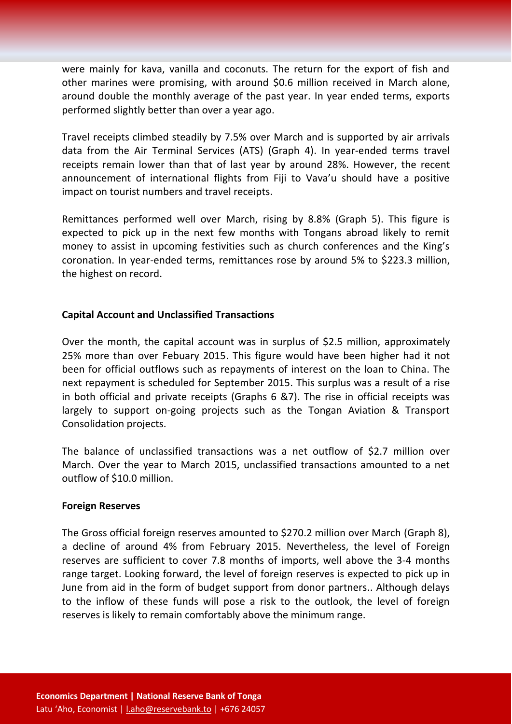were mainly for kava, vanilla and coconuts. The return for the export of fish and other marines were promising, with around \$0.6 million received in March alone, around double the monthly average of the past year. In year ended terms, exports performed slightly better than over a year ago.

Travel receipts climbed steadily by 7.5% over March and is supported by air arrivals data from the Air Terminal Services (ATS) (Graph 4). In year-ended terms travel receipts remain lower than that of last year by around 28%. However, the recent announcement of international flights from Fiji to Vava'u should have a positive impact on tourist numbers and travel receipts.

Remittances performed well over March, rising by 8.8% (Graph 5). This figure is expected to pick up in the next few months with Tongans abroad likely to remit money to assist in upcoming festivities such as church conferences and the King's coronation. In year-ended terms, remittances rose by around 5% to \$223.3 million, the highest on record.

## **Capital Account and Unclassified Transactions**

Over the month, the capital account was in surplus of \$2.5 million, approximately 25% more than over Febuary 2015. This figure would have been higher had it not been for official outflows such as repayments of interest on the loan to China. The next repayment is scheduled for September 2015. This surplus was a result of a rise in both official and private receipts (Graphs 6 &7). The rise in official receipts was largely to support on-going projects such as the Tongan Aviation & Transport Consolidation projects.

The balance of unclassified transactions was a net outflow of \$2.7 million over March. Over the year to March 2015, unclassified transactions amounted to a net outflow of \$10.0 million.

## **Foreign Reserves**

The Gross official foreign reserves amounted to \$270.2 million over March (Graph 8), a decline of around 4% from February 2015. Nevertheless, the level of Foreign reserves are sufficient to cover 7.8 months of imports, well above the 3-4 months range target. Looking forward, the level of foreign reserves is expected to pick up in June from aid in the form of budget support from donor partners.. Although delays to the inflow of these funds will pose a risk to the outlook, the level of foreign reserves is likely to remain comfortably above the minimum range.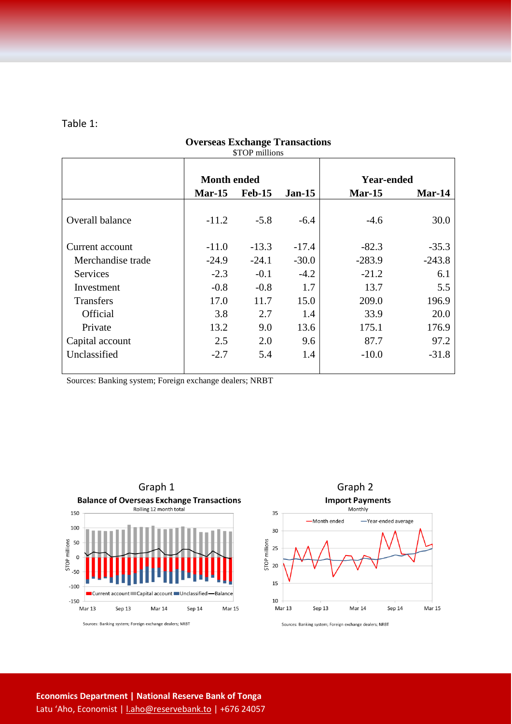#### Table 1:

|                   |                    | $\mathcal{L}$ LOT IMMINIS |          |                   |          |
|-------------------|--------------------|---------------------------|----------|-------------------|----------|
|                   | <b>Month ended</b> |                           |          | <b>Year-ended</b> |          |
|                   | <b>Mar-15</b>      | $Feb-15$                  | $Jan-15$ | $Mar-15$          | Mar-14   |
| Overall balance   | $-11.2$            | $-5.8$                    | $-6.4$   | $-4.6$            | 30.0     |
| Current account   | $-11.0$            | $-13.3$                   | $-17.4$  | $-82.3$           | $-35.3$  |
| Merchandise trade | $-24.9$            | $-24.1$                   | $-30.0$  | $-283.9$          | $-243.8$ |
| <b>Services</b>   | $-2.3$             | $-0.1$                    | $-4.2$   | $-21.2$           | 6.1      |
| Investment        | $-0.8$             | $-0.8$                    | 1.7      | 13.7              | 5.5      |
| <b>Transfers</b>  | 17.0               | 11.7                      | 15.0     | 209.0             | 196.9    |
| Official          | 3.8                | 2.7                       | 1.4      | 33.9              | 20.0     |
| Private           | 13.2               | 9.0                       | 13.6     | 175.1             | 176.9    |
| Capital account   | 2.5                | 2.0                       | 9.6      | 87.7              | 97.2     |
| Unclassified      | $-2.7$             | 5.4                       | 1.4      | $-10.0$           | $-31.8$  |

#### **Overseas Exchange Transactions** \$TOP millions

Sources: Banking system; Foreign exchange dealers; NRBT





Sources: Banking system; Foreign exchange dealers; NRBT